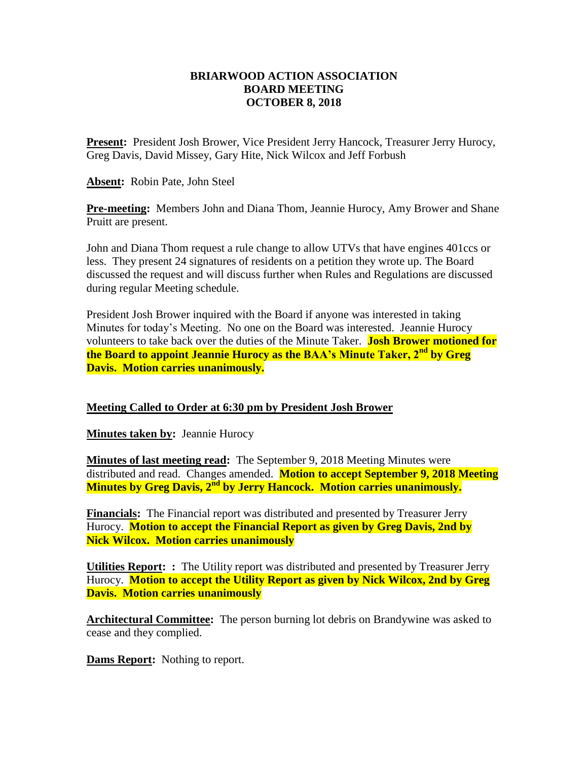## **BRIARWOOD ACTION ASSOCIATION BOARD MEETING OCTOBER 8, 2018**

Present: President Josh Brower, Vice President Jerry Hancock, Treasurer Jerry Hurocy, Greg Davis, David Missey, Gary Hite, Nick Wilcox and Jeff Forbush

**Absent:** Robin Pate, John Steel

**Pre-meeting:** Members John and Diana Thom, Jeannie Hurocy, Amy Brower and Shane Pruitt are present.

John and Diana Thom request a rule change to allow UTVs that have engines 401ccs or less. They present 24 signatures of residents on a petition they wrote up. The Board discussed the request and will discuss further when Rules and Regulations are discussed during regular Meeting schedule.

President Josh Brower inquired with the Board if anyone was interested in taking Minutes for today's Meeting. No one on the Board was interested.Jeannie Hurocy volunteers to take back over the duties of the Minute Taker. **Josh Brower motioned for the Board to appoint Jeannie Hurocy as the BAA's Minute Taker, 2nd by Greg Davis. Motion carries unanimously.**

## **Meeting Called to Order at 6:30 pm by President Josh Brower**

**Minutes taken by: Jeannie Hurocy** 

**Minutes of last meeting read:** The September 9, 2018 Meeting Minutes were distributed and read. Changes amended. **Motion to accept September 9, 2018 Meeting Minutes by Greg Davis, 2nd by Jerry Hancock. Motion carries unanimously.**

**Financials:** The Financial report was distributed and presented by Treasurer Jerry Hurocy. **Motion to accept the Financial Report as given by Greg Davis, 2nd by Nick Wilcox. Motion carries unanimously** 

**Utilities Report: :** The Utility report was distributed and presented by Treasurer Jerry Hurocy. **Motion to accept the Utility Report as given by Nick Wilcox, 2nd by Greg Davis. Motion carries unanimously** 

**Architectural Committee:** The person burning lot debris on Brandywine was asked to cease and they complied.

**Dams Report:** Nothing to report.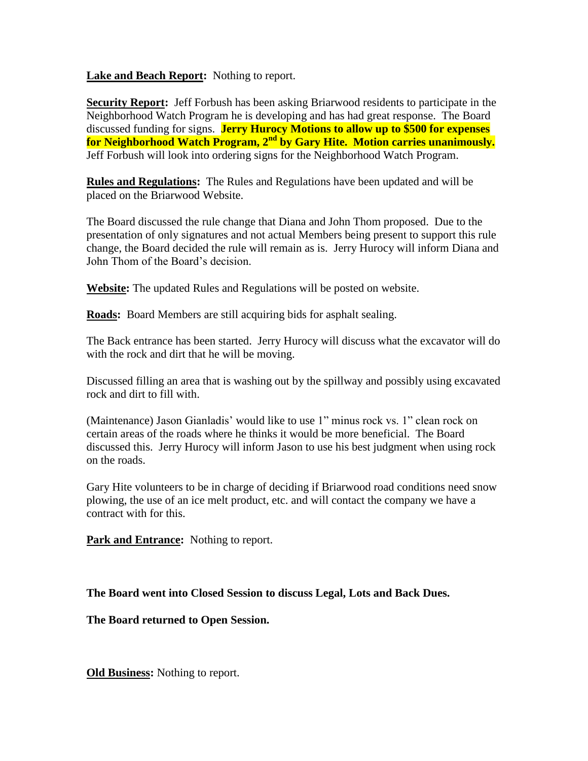**Lake and Beach Report:** Nothing to report.

**Security Report:** Jeff Forbush has been asking Briarwood residents to participate in the Neighborhood Watch Program he is developing and has had great response. The Board discussed funding for signs. **Jerry Hurocy Motions to allow up to \$500 for expenses for Neighborhood Watch Program, 2nd by Gary Hite. Motion carries unanimously.**  Jeff Forbush will look into ordering signs for the Neighborhood Watch Program.

**Rules and Regulations:** The Rules and Regulations have been updated and will be placed on the Briarwood Website.

The Board discussed the rule change that Diana and John Thom proposed. Due to the presentation of only signatures and not actual Members being present to support this rule change, the Board decided the rule will remain as is. Jerry Hurocy will inform Diana and John Thom of the Board's decision.

**Website:** The updated Rules and Regulations will be posted on website.

**Roads:** Board Members are still acquiring bids for asphalt sealing.

The Back entrance has been started. Jerry Hurocy will discuss what the excavator will do with the rock and dirt that he will be moving.

Discussed filling an area that is washing out by the spillway and possibly using excavated rock and dirt to fill with.

(Maintenance) Jason Gianladis' would like to use 1" minus rock vs. 1" clean rock on certain areas of the roads where he thinks it would be more beneficial. The Board discussed this. Jerry Hurocy will inform Jason to use his best judgment when using rock on the roads.

Gary Hite volunteers to be in charge of deciding if Briarwood road conditions need snow plowing, the use of an ice melt product, etc. and will contact the company we have a contract with for this.

**Park and Entrance:** Nothing to report.

**The Board went into Closed Session to discuss Legal, Lots and Back Dues.**

**The Board returned to Open Session.**

**Old Business:** Nothing to report.